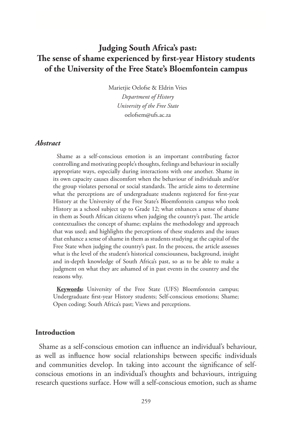# **Judging South Africa's past: The sense of shame experienced by first-year History students of the University of the Free State's Bloemfontein campus**

Marietjie Oelofse & Eldrin Vries *Department of History University of the Free State* oelofsem@ufs.ac.za

#### *Abstract*

Shame as a self-conscious emotion is an important contributing factor controlling and motivating people's thoughts, feelings and behaviour in socially appropriate ways, especially during interactions with one another. Shame in its own capacity causes discomfort when the behaviour of individuals and/or the group violates personal or social standards. The article aims to determine what the perceptions are of undergraduate students registered for first-year History at the University of the Free State's Bloemfontein campus who took History as a school subject up to Grade 12; what enhances a sense of shame in them as South African citizens when judging the country's past. The article contextualises the concept of shame; explains the methodology and approach that was used; and highlights the perceptions of these students and the issues that enhance a sense of shame in them as students studying at the capital of the Free State when judging the country's past. In the process, the article assesses what is the level of the student's historical consciousness, background, insight and in-depth knowledge of South Africa's past, so as to be able to make a judgment on what they are ashamed of in past events in the country and the reasons why.

**Keywords:** University of the Free State (UFS) Bloemfontein campus; Undergraduate first-year History students; Self-conscious emotions; Shame; Open coding; South Africa's past; Views and perceptions.

#### **Introduction**

Shame as a self-conscious emotion can influence an individual's behaviour, as well as influence how social relationships between specific individuals and communities develop. In taking into account the significance of selfconscious emotions in an individual's thoughts and behaviours, intriguing research questions surface. How will a self-conscious emotion, such as shame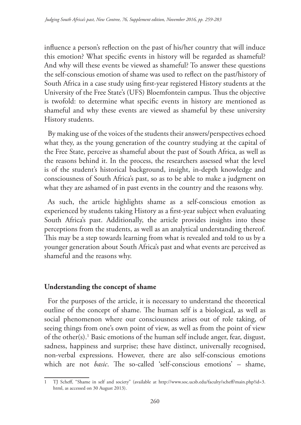influence a person's reflection on the past of his/her country that will induce this emotion? What specific events in history will be regarded as shameful? And why will these events be viewed as shameful? To answer these questions the self-conscious emotion of shame was used to reflect on the past/history of South Africa in a case study using first-year registered History students at the University of the Free State's (UFS) Bloemfontein campus. Thus the objective is twofold: to determine what specific events in history are mentioned as shameful and why these events are viewed as shameful by these university History students.

By making use of the voices of the students their answers/perspectives echoed what they, as the young generation of the country studying at the capital of the Free State, perceive as shameful about the past of South Africa, as well as the reasons behind it. In the process, the researchers assessed what the level is of the student's historical background, insight, in-depth knowledge and consciousness of South Africa's past, so as to be able to make a judgment on what they are ashamed of in past events in the country and the reasons why.

As such, the article highlights shame as a self-conscious emotion as experienced by students taking History as a first-year subject when evaluating South Africa's past. Additionally, the article provides insights into these perceptions from the students, as well as an analytical understanding thereof. This may be a step towards learning from what is revealed and told to us by a younger generation about South Africa's past and what events are perceived as shameful and the reasons why.

#### **Understanding the concept of shame**

For the purposes of the article, it is necessary to understand the theoretical outline of the concept of shame. The human self is a biological, as well as social phenomenon where our consciousness arises out of role taking, of seeing things from one's own point of view, as well as from the point of view of the other(s).1 Basic emotions of the human self include anger, fear, disgust, sadness, happiness and surprise; these have distinct, universally recognised, non-verbal expressions. However, there are also self-conscious emotions which are not *basic*. The so-called 'self-conscious emotions' – shame,

<sup>1</sup> TJ Scheff, "Shame in self and society" (available at http://www.soc.ucsb.edu/faculty/scheff/main.php?id=3. html, as accessed on 30 August 2013).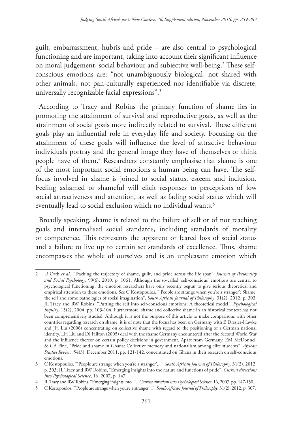guilt, embarrassment, hubris and pride – are also central to psychological functioning and are important, taking into account their significant influence on moral judgement, social behaviour and subjective well-being.<sup>2</sup> These selfconscious emotions are: "not unambiguously biological, not shared with other animals, not pan-culturally experienced nor identifiable via discrete, universally recognizable facial expressions".3

According to Tracy and Robins the primary function of shame lies in promoting the attainment of survival and reproductive goals, as well as the attainment of social goals more indirectly related to survival. These different goals play an influential role in everyday life and society. Focusing on the attainment of these goals will influence the level of attractive behaviour individuals portray and the general image they have of themselves or think people have of them.<sup>4</sup> Researchers constantly emphasise that shame is one of the most important social emotions a human being can have. The selffocus involved in shame is joined to social status, esteem and inclusion. Feeling ashamed or shameful will elicit responses to perceptions of low social attractiveness and attention, as well as fading social status which will eventually lead to social exclusion which no individual wants.<sup>5</sup>

Broadly speaking, shame is related to the failure of self or of not reaching goals and internalised social standards, including standards of morality or competence. This represents the apparent or feared loss of social status and a failure to live up to certain set standards of excellence. Thus, shame encompasses the whole of ourselves and is an unpleasant emotion which

<sup>2</sup> U Orth *et al*, "Tracking the trajectory of shame, guilt, and pride across the life span", *Journal of Personality and Social Psychology*, 99(6), 2010, p. 1061. Although the so-called 'self-conscious' emotions are central to psychological functioning, the emotion researchers have only recently begun to give serious theoretical and empirical attention to these emotions. See C Kostopoulos, "'People are strange when you're a stranger': Shame, the self and some pathologies of social imagination", *South African Journal of Philosophy*, 31(2), 2012, p. 303; JL Tracy and RW Robins, "Putting the self into self-conscious emotions: A theoretical model", *Psychological Inquiry*, 15(2), 2004, pp. 103-104. Furthermore, shame and collective shame in an historical context has not been comprehensively studied. Although it is not the purpose of this article to make comparisons with other countries regarding research on shame, it is of note that the focus has been on Germany with E Dresler-Hawke and JH Liu (2006) concentrating on collective shame with regard to the positioning of a German national identity. LH Liu and DJ Hilton (2005) deal with the shame Germany encountered after the Second World War and the influence thereof on certain policy decisions in government. Apart from Germany, EM McDonnell & GA Fine, "Pride and shame in Ghana: Collective memory and nationalism among elite students", *African Studies Review*, 54(3), December 2011, pp. 121-142, concentrated on Ghana in their research on self-conscious emotions.

<sup>3</sup> C Kostopoulos, "'People are strange when you're a stranger'...", *South African Journal of Philosophy*, 31(2), 2012, p. 303; JL Tracy and RW Robins, "Emerging insights into the nature and functions of pride", *Current directions into Psychological Science*, 16, 2007, p. 147.

<sup>4</sup> JL Tracy and RW Robins, "Emerging insights into...", *Current directions into Psychological Science*, 16, 2007, pp. 147-150.

<sup>5</sup> C Kostopoulos, "'People are strange when you're a stranger'...", *South African Journal of Philosophy*, 31(2), 2012, p. 307.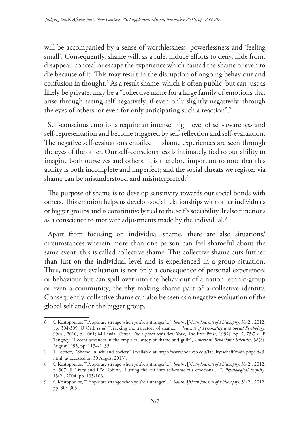will be accompanied by a sense of worthlessness, powerlessness and 'feeling small'. Consequently, shame will, as a rule, induce efforts to deny, hide from, disappear, conceal or escape the experience which caused the shame or even to die because of it. This may result in the disruption of ongoing behaviour and confusion in thought.6 As a result shame, which is often public, but can just as likely be private, may be a "collective name for a large family of emotions that arise through seeing self negatively, if even only slightly negatively, through the eyes of others, or even for only anticipating such a reaction".<sup>7</sup>

Self-conscious emotions require an intense, high level of self-awareness and self-representation and become triggered by self-reflection and self-evaluation. The negative self-evaluations entailed in shame experiences are seen through the eyes of the other. Our self-consciousness is intimately tied to our ability to imagine both ourselves and others. It is therefore important to note that this ability is both incomplete and imperfect; and the social threats we register via shame can be misunderstood and misinterpreted.<sup>8</sup>

The purpose of shame is to develop sensitivity towards our social bonds with others. This emotion helps us develop social relationships with other individuals or bigger groups and is constitutively tied to the self's sociability. It also functions as a conscience to motivate adjustments made by the individual.<sup>9</sup>

Apart from focusing on individual shame, there are also situations/ circumstances wherein more than one person can feel shameful about the same event; this is called collective shame. This collective shame cuts further than just on the individual level and is experienced in a group situation. Thus, negative evaluation is not only a consequence of personal experiences or behaviour but can spill over into the behaviour of a nation, ethnic-group or even a community, thereby making shame part of a collective identity. Consequently, collective shame can also be seen as a negative evaluation of the global self and/or the bigger group.

<sup>6</sup> C Kostopoulos, "'People are strange when you're a stranger'...", *South African Journal of Philosophy*, 31(2), 2012, pp. 304-305; U Orth *et al*, "Tracking the trajectory of shame...", *Journal of Personality and Social Psychology*, 99(6), 2010, p. 1061; M Lewis, *Shame. The exposed self* (New York, The Free Press, 1992), pp. 2, 75-76; JP Tangney, "Recent advances in the empirical study of shame and guilt", *American Behavioral Scientist*, 38(8), August 1995, pp. 1134-1135.

<sup>7</sup> TJ Scheff, "Shame in self and society" (available at http://www.soc.ucsb.edu/faculty/scheff/main.php?id=3. html, as accessed on 30 August 2013).

<sup>8</sup> C Kostopoulos, "'People are strange when you're a stranger'...", *South African Journal of Philosophy*, 31(2), 2012, p. 307; JL Tracy and RW Robins, "Putting the self into self-conscious emotions …", *Psychological Inquiry*, 15(2), 2004, pp. 105-106.

<sup>9</sup> C Kostopoulos, "'People are strange when you're a stranger'...", *South African Journal of Philosophy*, 31(2), 2012, pp. 304-305.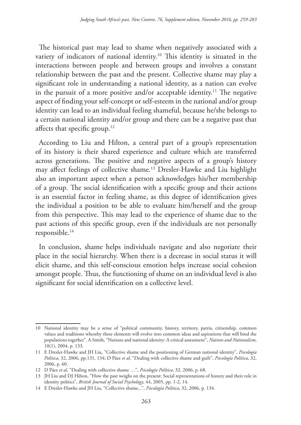The historical past may lead to shame when negatively associated with a variety of indicators of national identity.10 This identity is situated in the interactions between people and between groups and involves a constant relationship between the past and the present. Collective shame may play a significant role in understanding a national identity, as a nation can evolve in the pursuit of a more positive and/or acceptable identity.<sup>11</sup> The negative aspect of finding your self-concept or self-esteem in the national and/or group identity can lead to an individual feeling shameful, because he/she belongs to a certain national identity and/or group and there can be a negative past that affects that specific group.<sup>12</sup>

According to Liu and Hilton, a central part of a group's representation of its history is their shared experience and culture which are transferred across generations. The positive and negative aspects of a group's history may affect feelings of collective shame.13 Dresler-Hawke and Liu highlight also an important aspect when a person acknowledges his/her membership of a group. The social identification with a specific group and their actions is an essential factor in feeling shame, as this degree of identification gives the individual a position to be able to evaluate him/herself and the group from this perspective. This may lead to the experience of shame due to the past actions of this specific group, even if the individuals are not personally responsible.14

In conclusion, shame helps individuals navigate and also negotiate their place in the social hierarchy. When there is a decrease in social status it will elicit shame, and this self-conscious emotion helps increase social cohesion amongst people. Thus, the functioning of shame on an individual level is also significant for social identification on a collective level.

<sup>10</sup> National identity may be a sense of "political community, history, territory, patria, citizenship, common values and traditions whereby these elements will evolve into common ideas and aspirations that will bind the populations together". A Smith, "Nations and national identity: A critical assessment", *Nations and Nationalism*, 10(1), 2004, p. 133.

<sup>11</sup> E Dresler-Hawke and JH Liu, "Collective shame and the positioning of German national identity", *Psicología Política*, 32, 2006, pp.131, 134; D Páez *et al,* "Dealing with collective shame and guilt", *Psicología Política*, 32, 2006, p. 60.

<sup>12</sup> D Páez *et al,* "Dealing with collective shame …", *Psicología Política*, 32, 2006, p. 68.

<sup>13</sup> JH Liu and DJ Hilton, "How the past weighs on the present: Social representations of history and their role in identity politics", *British Journal of Social Psychology*, 44, 2005, pp. 1-2, 14.

<sup>14</sup> E Dresler-Hawke and JH Liu, "Collective shame...", *Psicología Política*, 32, 2006, p. 134.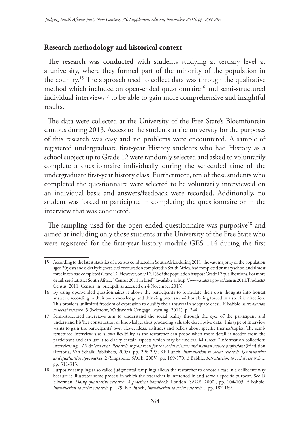#### **Research methodology and historical context**

The research was conducted with students studying at tertiary level at a university, where they formed part of the minority of the population in the country.15 The approach used to collect data was through the qualitative method which included an open-ended questionnaire<sup>16</sup> and semi-structured individual interviews<sup>17</sup> to be able to gain more comprehensive and insightful results.

The data were collected at the University of the Free State's Bloemfontein campus during 2013. Access to the students at the university for the purposes of this research was easy and no problems were encountered. A sample of registered undergraduate first-year History students who had History as a school subject up to Grade 12 were randomly selected and asked to voluntarily complete a questionnaire individually during the scheduled time of the undergraduate first-year history class. Furthermore, ten of these students who completed the questionnaire were selected to be voluntarily interviewed on an individual basis and answers/feedback were recorded. Additionally, no student was forced to participate in completing the questionnaire or in the interview that was conducted.

The sampling used for the open-ended questionnaire was purposive $18$  and aimed at including only those students at the University of the Free State who were registered for the first-year history module GES 114 during the first

<sup>15</sup> According to the latest statistics of a census conducted in South Africa during 2011, the vast majority of the population aged 20 years and older by highest level of education completed in South Africa, had completed primary school and almost three in ten had completed Grade 12. However, only 12.1% of the population has post Grade 12 qualifications. For more detail, see Statistics South Africa, "Census 2011 in brief" (available at http://www.statssa.gov.za/census2011/Products/ Census\_2011\_Census\_in\_brief.pdf, as accessed on 4 November 2013).

<sup>16</sup> By using open-ended questionnaires it allows the participants to formulate their own thoughts into honest answers, according to their own knowledge and thinking processes without being forced in a specific direction. This provides unlimited freedom of expression to qualify their answers in adequate detail. E Babbie, *Introduction to social research*, 5 (Belmont, Wadsworth Cengage Learning, 2011), p. 244.

<sup>17</sup> Semi-structured interviews aim to understand the social reality through the eyes of the participant and understand his/her construction of knowledge, thus producing valuable descriptive data. This type of interview wants to gain the participants' own views, ideas, attitudes and beliefs about specific themes/topics. The semistructured interview also allows flexibility as the researcher can probe when more detail is needed from the participant and can use it to clarify certain aspects which may be unclear. M Greef, "Information collection: Interviewing", AS de Vos et al, Research at grass roots for the social sciences and human service professions 3<sup>rd</sup> edition (Pretoria, Van Schaik Publishers, 2005), pp. 296-297; KF Punch, *Introduction to social research. Quantitative and qualitative approaches,* 2 (Singapore, SAGE, 2005)*,* pp. 169-170; E Babbie, *Introduction to social research*..., pp. 311-313.

<sup>18</sup> Purposive sampling (also called judgmental sampling) allows the researcher to choose a case in a deliberate way because it illustrates some process in which the researcher is interested in and serve a specific purpose. See D Silverman, *Doing qualitative research. A practical handbook* (London, SAGE, 2000), pp. 104-105; E Babbie, *Introduction to social research*, p. 179; KF Punch, *Introduction to social research...*, pp. 187-189.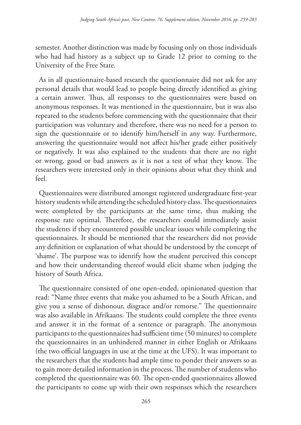semester. Another distinction was made by focusing only on those individuals who had had history as a subject up to Grade 12 prior to coming to the University of the Free State.

As in all questionnaire-based research the questionnaire did not ask for any personal details that would lead to people being directly identified as giving a certain answer. Thus, all responses to the questionnaires were based on anonymous responses. It was mentioned in the questionnaire, but it was also repeated to the students before commencing with the questionnaire that their participation was voluntary and therefore, there was no need for a person to sign the questionnaire or to identify him/herself in any way. Furthermore, answering the questionnaire would not affect his/her grade either positively or negatively. It was also explained to the students that there are no right or wrong, good or bad answers as it is not a test of what they know. The researchers were interested only in their opinions about what they think and feel.

Questionnaires were distributed amongst registered undergraduate first-year history students while attending the scheduled history class. The questionnaires were completed by the participants at the same time, thus making the response rate optimal. Therefore, the researchers could immediately assist the students if they encountered possible unclear issues while completing the questionnaires. It should be mentioned that the researchers did not provide any definition or explanation of what should be understood by the concept of 'shame'. The purpose was to identify how the student perceived this concept and how their understanding thereof would elicit shame when judging the history of South Africa.

The questionnaire consisted of one open-ended, opinionated question that read: "Name three events that make you ashamed to be a South African, and give you a sense of dishonour, disgrace and/or remorse." The questionnaire was also available in Afrikaans. The students could complete the three events and answer it in the format of a sentence or paragraph. The anonymous participants to the questionnaires had sufficient time (50 minutes) to complete the questionnaires in an unhindered manner in either English or Afrikaans (the two official languages in use at the time at the UFS). It was important to the researchers that the students had ample time to ponder their answers so as to gain more detailed information in the process. The number of students who completed the questionnaire was 60. The open-ended questionnaires allowed the participants to come up with their own responses which the researchers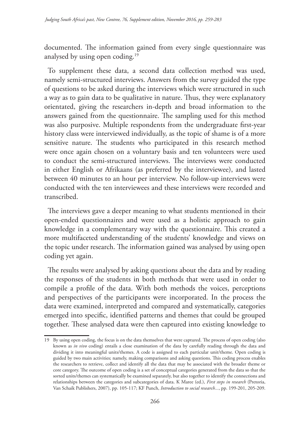documented. The information gained from every single questionnaire was analysed by using open coding.<sup>19</sup>

To supplement these data, a second data collection method was used, namely semi-structured interviews. Answers from the survey guided the type of questions to be asked during the interviews which were structured in such a way as to gain data to be qualitative in nature. Thus, they were explanatory orientated, giving the researchers in-depth and broad information to the answers gained from the questionnaire. The sampling used for this method was also purposive. Multiple respondents from the undergraduate first-year history class were interviewed individually, as the topic of shame is of a more sensitive nature. The students who participated in this research method were once again chosen on a voluntary basis and ten volunteers were used to conduct the semi-structured interviews. The interviews were conducted in either English or Afrikaans (as preferred by the interviewee), and lasted between 40 minutes to an hour per interview. No follow-up interviews were conducted with the ten interviewees and these interviews were recorded and transcribed.

The interviews gave a deeper meaning to what students mentioned in their open-ended questionnaires and were used as a holistic approach to gain knowledge in a complementary way with the questionnaire. This created a more multifaceted understanding of the students' knowledge and views on the topic under research. The information gained was analysed by using open coding yet again.

The results were analysed by asking questions about the data and by reading the responses of the students in both methods that were used in order to compile a profile of the data. With both methods the voices, perceptions and perspectives of the participants were incorporated. In the process the data were examined, interpreted and compared and systematically, categories emerged into specific, identified patterns and themes that could be grouped together. These analysed data were then captured into existing knowledge to

<sup>19</sup> By using open coding, the focus is on the data themselves that were captured. The process of open coding (also known as *in vivo* coding) entails a close examination of the data by carefully reading through the data and dividing it into meaningful units/themes. A code is assigned to each particular unit/theme. Open coding is guided by two main activities; namely, making comparisons and asking questions. This coding process enables the researchers to retrieve, collect and identify all the data that may be associated with the broader theme or core category. The outcome of open coding is a set of conceptual categories generated from the data so that the sorted units/themes can systematically be examined separately, but also together to identify the connections and relationships between the categories and subcategories of data. K Maree (ed.), *First steps in research* (Pretoria, Van Schaik Publishers, 2007), pp. 105-117; KF Punch, *Introduction to social research...*, pp. 199-201, 205-209.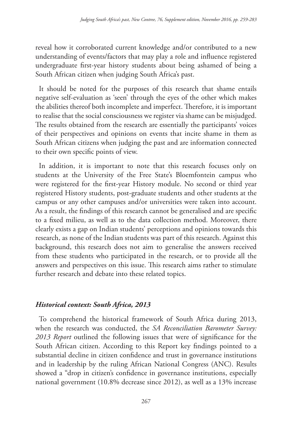reveal how it corroborated current knowledge and/or contributed to a new understanding of events/factors that may play a role and influence registered undergraduate first-year history students about being ashamed of being a South African citizen when judging South Africa's past.

It should be noted for the purposes of this research that shame entails negative self-evaluation as 'seen' through the eyes of the other which makes the abilities thereof both incomplete and imperfect. Therefore, it is important to realise that the social consciousness we register via shame can be misjudged. The results obtained from the research are essentially the participants' voices of their perspectives and opinions on events that incite shame in them as South African citizens when judging the past and are information connected to their own specific points of view.

In addition, it is important to note that this research focuses only on students at the University of the Free State's Bloemfontein campus who were registered for the first-year History module. No second or third year registered History students, post-graduate students and other students at the campus or any other campuses and/or universities were taken into account. As a result, the findings of this research cannot be generalised and are specific to a fixed milieu, as well as to the data collection method. Moreover, there clearly exists a gap on Indian students' perceptions and opinions towards this research, as none of the Indian students was part of this research. Against this background, this research does not aim to generalise the answers received from these students who participated in the research, or to provide all the answers and perspectives on this issue. This research aims rather to stimulate further research and debate into these related topics.

### *Historical context: South Africa, 2013*

To comprehend the historical framework of South Africa during 2013, when the research was conducted, the *SA Reconciliation Barometer Survey: 2013 Report* outlined the following issues that were of significance for the South African citizen. According to this Report key findings pointed to a substantial decline in citizen confidence and trust in governance institutions and in leadership by the ruling African National Congress (ANC). Results showed a "drop in citizen's confidence in governance institutions, especially national government (10.8% decrease since 2012), as well as a 13% increase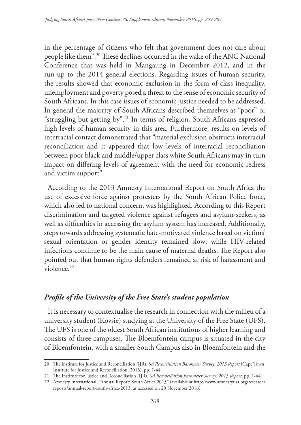in the percentage of citizens who felt that government does not care about people like them".20 These declines occurred in the wake of the ANC National Conference that was held in Mangaung in December 2012, and in the run-up to the 2014 general elections. Regarding issues of human security, the results showed that economic exclusion in the form of class inequality, unemployment and poverty posed a threat to the sense of economic security of South Africans. In this case issues of economic justice needed to be addressed. In general the majority of South Africans described themselves as "poor" or "struggling but getting by".21 In terms of religion, South Africans expressed high levels of human security in this area. Furthermore, results on levels of interracial contact demonstrated that "material exclusion obstructs interracial reconciliation and it appeared that low levels of interracial reconciliation between poor black and middle/upper class white South Africans may in turn impact on differing levels of agreement with the need for economic redress and victim support".

According to the 2013 Amnesty International Report on South Africa the use of excessive force against protesters by the South African Police force, which also led to national concern, was highlighted. According to this Report discrimination and targeted violence against refugees and asylum-seekers, as well as difficulties in accessing the asylum system has increased. Additionally, steps towards addressing systematic hate-motivated violence based on victims' sexual orientation or gender identity remained slow; while HIV-related infections continue to be the main cause of maternal deaths. The Report also pointed out that human rights defenders remained at risk of harassment and violence.22

### *Profile of the University of the Free State's student population*

It is necessary to contextualise the research in connection with the milieu of a university student (Kovsie) studying at the University of the Free State (UFS). The UFS is one of the oldest South African institutions of higher learning and consists of three campuses. The Bloemfontein campus is situated in the city of Bloemfontein, with a smaller South Campus also in Bloemfontein and the

<sup>20</sup> The Institute for Justice and Reconciliation (IJR), *SA Reconciliation Barometer Survey: 2013 Report* (Cape Town, Institute for Justice and Reconciliation, 2013), pp. 1-44.

<sup>21</sup> The Institute for Justice and Reconciliation (IJR), *SA Reconciliation Barometer Survey: 2013 Report*, pp. 1-44.

<sup>22</sup> Amnesty International, "Annual Report: South Africa 2013" (available at http://www.amnestyusa.org/research/ reports/annual-report-south-africa-2013, as accessed on 20 November 2016).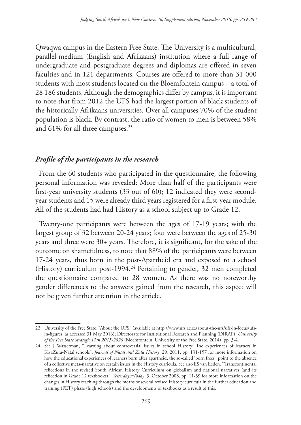Qwaqwa campus in the Eastern Free State. The University is a multicultural, parallel-medium (English and Afrikaans) institution where a full range of undergraduate and postgraduate degrees and diplomas are offered in seven faculties and in 121 departments. Courses are offered to more than 31 000 students with most students located on the Bloemfontein campus – a total of 28 186 students. Although the demographics differ by campus, it is important to note that from 2012 the UFS had the largest portion of black students of the historically Afrikaans universities. Over all campuses 70% of the student population is black. By contrast, the ratio of women to men is between 58% and 61% for all three campuses.<sup>23</sup>

### *Profile of the participants in the research*

From the 60 students who participated in the questionnaire, the following personal information was revealed: More than half of the participants were first-year university students (33 out of 60); 12 indicated they were secondyear students and 15 were already third years registered for a first-year module. All of the students had had History as a school subject up to Grade 12.

Twenty-one participants were between the ages of 17-19 years; with the largest group of 32 between 20-24 years; four were between the ages of 25-30 years and three were 30+ years. Therefore, it is significant, for the sake of the outcome on shamefulness, to note that 88% of the participants were between 17-24 years, thus born in the post-Apartheid era and exposed to a school (History) curriculum post-1994.<sup>24</sup> Pertaining to gender, 32 men completed the questionnaire compared to 28 women. As there was no noteworthy gender differences to the answers gained from the research, this aspect will not be given further attention in the article.

<sup>23</sup> University of the Free State, "About the UFS" (available at http://www.ufs.ac.za/about-the-ufs/ufs-in-focus/ufsin-figures, as accessed 31 May 2016); Directorate for Institutional Research and Planning (DIRAP), *University of the Free State Strategic Plan 2015-2020* (Bloemfontein, University of the Free State, 2014), pp. 3-4.

<sup>24</sup> See J Wasserman, "Learning about controversial issues in school History: The experiences of learners in KwaZulu-Natal schools", *Journal of Natal and Zulu History*, 29, 2011, pp. 131-157 for more information on how the educational experiences of learners born after apartheid, the so-called 'born frees', point to the absence of a collective meta-narrative on certain issues in the History curricula. See also ES van Eeden, "Transcontinental reflections in the revised South African History Curriculum on globalism and national narratives (and its reflection in Grade 12 textbooks)", *Yesterday&Today*, 3, October 2008, pp. 11-39 for more information on the changes in History teaching through the means of several revised History curricula in the further education and training (FET) phase (high schools) and the developments of textbooks as a result of this.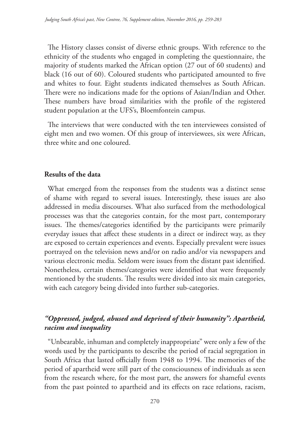The History classes consist of diverse ethnic groups. With reference to the ethnicity of the students who engaged in completing the questionnaire, the majority of students marked the African option (27 out of 60 students) and black (16 out of 60). Coloured students who participated amounted to five and whites to four. Eight students indicated themselves as South African. There were no indications made for the options of Asian/Indian and Other. These numbers have broad similarities with the profile of the registered student population at the UFS's, Bloemfontein campus.

The interviews that were conducted with the ten interviewees consisted of eight men and two women. Of this group of interviewees, six were African, three white and one coloured.

#### **Results of the data**

What emerged from the responses from the students was a distinct sense of shame with regard to several issues. Interestingly, these issues are also addressed in media discourses. What also surfaced from the methodological processes was that the categories contain, for the most part, contemporary issues. The themes/categories identified by the participants were primarily everyday issues that affect these students in a direct or indirect way, as they are exposed to certain experiences and events. Especially prevalent were issues portrayed on the television news and/or on radio and/or via newspapers and various electronic media. Seldom were issues from the distant past identified. Nonetheless, certain themes/categories were identified that were frequently mentioned by the students. The results were divided into six main categories, with each category being divided into further sub-categories.

# *"Oppressed, judged, abused and deprived of their humanity": Apartheid, racism and inequality*

"Unbearable, inhuman and completely inappropriate" were only a few of the words used by the participants to describe the period of racial segregation in South Africa that lasted officially from 1948 to 1994. The memories of the period of apartheid were still part of the consciousness of individuals as seen from the research where, for the most part, the answers for shameful events from the past pointed to apartheid and its effects on race relations, racism,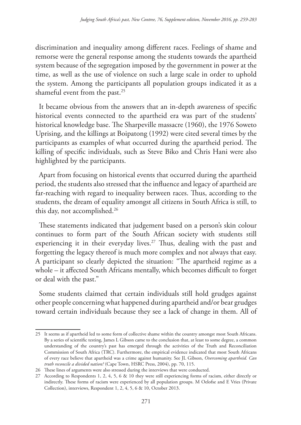discrimination and inequality among different races. Feelings of shame and remorse were the general response among the students towards the apartheid system because of the segregation imposed by the government in power at the time, as well as the use of violence on such a large scale in order to uphold the system. Among the participants all population groups indicated it as a shameful event from the past.<sup>25</sup>

It became obvious from the answers that an in-depth awareness of specific historical events connected to the apartheid era was part of the students' historical knowledge base. The Sharpeville massacre (1960), the 1976 Soweto Uprising, and the killings at Boipatong (1992) were cited several times by the participants as examples of what occurred during the apartheid period. The killing of specific individuals, such as Steve Biko and Chris Hani were also highlighted by the participants.

Apart from focusing on historical events that occurred during the apartheid period, the students also stressed that the influence and legacy of apartheid are far-reaching with regard to inequality between races. Thus, according to the students, the dream of equality amongst all citizens in South Africa is still, to this day, not accomplished.<sup>26</sup>

These statements indicated that judgement based on a person's skin colour continues to form part of the South African society with students still experiencing it in their everyday lives.<sup>27</sup> Thus, dealing with the past and forgetting the legacy thereof is much more complex and not always that easy. A participant so clearly depicted the situation: "The apartheid regime as a whole – it affected South Africans mentally, which becomes difficult to forget or deal with the past."

Some students claimed that certain individuals still hold grudges against other people concerning what happened during apartheid and/or bear grudges toward certain individuals because they see a lack of change in them. All of

<sup>25</sup> It seems as if apartheid led to some form of collective shame within the country amongst most South Africans. By a series of scientific testing, James L Gibson came to the conclusion that, at least to some degree, a common understanding of the country's past has emerged through the activities of the Truth and Reconciliation Commission of South Africa (TRC). Furthermore, the empirical evidence indicated that most South Africans of every race believe that apartheid was a crime against humanity. See JL Gibson, *Overcoming apartheid. Can truth reconcile a divided nation?* (Cape Town, HSRC Press, 2004), pp. 70, 115.

<sup>26</sup> These lines of arguments were also stressed during the interviews that were conducted.

<sup>27</sup> According to Respondents 1, 2, 4, 5, 6 & 10 they were still experiencing forms of racism, either directly or indirectly. These forms of racism were experienced by all population groups. M Oelofse and E Vries (Private Collection), interviews, Respondent 1, 2, 4, 5, 6 & 10, October 2013.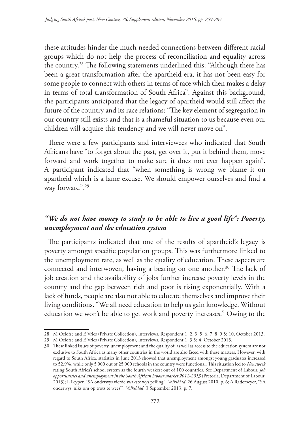these attitudes hinder the much needed connections between different racial groups which do not help the process of reconciliation and equality across the country.28 The following statements underlined this: "Although there has been a great transformation after the apartheid era, it has not been easy for some people to connect with others in terms of race which then makes a delay in terms of total transformation of South Africa". Against this background, the participants anticipated that the legacy of apartheid would still affect the future of the country and its race relations: "The key element of segregation in our country still exists and that is a shameful situation to us because even our children will acquire this tendency and we will never move on".

There were a few participants and interviewees who indicated that South Africans have "to forget about the past, get over it, put it behind them, move forward and work together to make sure it does not ever happen again". A participant indicated that "when something is wrong we blame it on apartheid which is a lame excuse. We should empower ourselves and find a way forward".29

## *"We do not have money to study to be able to live a good life": Poverty, unemployment and the education system*

The participants indicated that one of the results of apartheid's legacy is poverty amongst specific population groups. This was furthermore linked to the unemployment rate, as well as the quality of education. These aspects are connected and interwoven, having a bearing on one another.<sup>30</sup> The lack of job creation and the availability of jobs further increase poverty levels in the country and the gap between rich and poor is rising exponentially. With a lack of funds, people are also not able to educate themselves and improve their living conditions. "We all need education to help us gain knowledge. Without education we won't be able to get work and poverty increases." Owing to the

<sup>28</sup> M Oelofse and E Vries (Private Collection), interviews, Respondent 1, 2, 3, 5, 6, 7, 8, 9 & 10, October 2013.

<sup>29</sup> M Oelofse and E Vries (Private Collection), interviews, Respondent 1, 3 & 4, October 2013.

<sup>30</sup> These linked issues of poverty, unemployment and the quality of, as well as access to the education system are not exclusive to South Africa as many other countries in the world are also faced with these matters. However, with regard to South Africa, statistics in June 2013 showed that unemployment amongst young graduates increased to 52.9%, while only 5 000 out of 25 000 schools in the country were functional. This situation led to *Newsweek* rating South Africa's school system as the fourth weakest out of 100 countries. See Department of Labour, *Job opportunities and unemployment in the South African labour market 2012-2013* (Pretoria, Department of Labour, 2013); L Peyper, "SA onderwys vierde swakste wys peiling", *Volksblad*, 26 August 2010, p. 6; A Rademeyer, "SA onderwys 'niks om op trots te wees'", *Volksblad*, 3 September 2013, p. 7.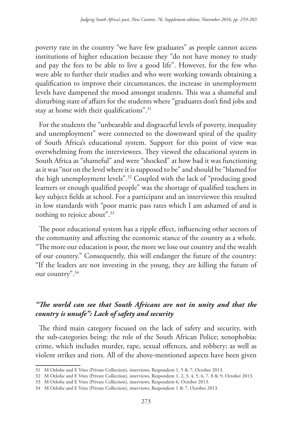poverty rate in the country "we have few graduates" as people cannot access institutions of higher education because they "do not have money to study and pay the fees to be able to live a good life". However, for the few who were able to further their studies and who were working towards obtaining a qualification to improve their circumstances, the increase in unemployment levels have dampened the mood amongst students. This was a shameful and disturbing state of affairs for the students where "graduates don't find jobs and stay at home with their qualifications".<sup>31</sup>

For the students the "unbearable and disgraceful levels of poverty, inequality and unemployment" were connected to the downward spiral of the quality of South Africa's educational system. Support for this point of view was overwhelming from the interviewees. They viewed the educational system in South Africa as "shameful" and were "shocked" at how bad it was functioning as it was "not on the level where it is supposed to be" and should be "blamed for the high unemployment levels".32 Coupled with the lack of "producing good learners or enough qualified people" was the shortage of qualified teachers in key subject fields at school. For a participant and an interviewee this resulted in low standards with "poor matric pass rates which I am ashamed of and is nothing to rejoice about".33

The poor educational system has a ripple effect, influencing other sectors of the community and affecting the economic stance of the country as a whole. "The more our education is poor, the more we lose our country and the wealth of our country." Consequently, this will endanger the future of the country: "If the leaders are not investing in the young, they are killing the future of our country".34

# *"The world can see that South Africans are not in unity and that the country is unsafe": Lack of safety and security*

The third main category focused on the lack of safety and security, with the sub-categories being: the role of the South African Police; xenophobia; crime, which includes murder, rape, sexual offences, and robbery; as well as violent strikes and riots. All of the above-mentioned aspects have been given

<sup>31</sup> M Oelofse and E Vries (Private Collection), interviews, Respondent 1, 5 & 7, October 2013.

<sup>32</sup> M Oelofse and E Vries (Private Collection), interviews, Respondent 1, 2, 3, 4, 5, 6, 7, 8 & 9, October 2013.

<sup>33</sup> M Oelofse and E Vries (Private Collection), interviews, Respondent 6, October 2013.

<sup>34</sup> M Oelofse and E Vries (Private Collection), interviews, Respondent 1 & 7, October 2013.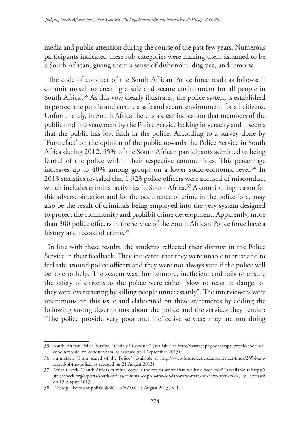media and public attention during the course of the past few years. Numerous participants indicated these sub-categories were making them ashamed to be a South African, giving them a sense of dishonour, disgrace, and remorse.

The code of conduct of the South African Police force reads as follows: 'I commit myself to creating a safe and secure environment for all people in South Africa'.<sup>35</sup> As this vow clearly illustrates, the police system is established to protect the public and ensure a safe and secure environment for all citizens. Unfortunately, in South Africa there is a clear indication that members of the public find this statement by the Police Service lacking in veracity and it seems that the public has lost faith in the police. According to a survey done by 'Futurefact' on the opinion of the public towards the Police Service in South Africa during 2012, 35% of the South African participants admitted to being fearful of the police within their respective communities. This percentage increases up to 40% among groups on a lower socio-economic level.<sup>36</sup> In 2013 statistics revealed that 1 323 police officers were accused of misconduct which includes criminal activities in South Africa.<sup>37</sup> A contributing reason for this adverse situation and for the occurrence of crime in the police force may also be the result of criminals being employed into the very system designed to protect the community and prohibit crime development. Apparently, more than 300 police officers in the service of the South African Police force have a history and record of crime.<sup>38</sup>

In line with these results, the students reflected their distrust in the Police Service in their feedback. They indicated that they were unable to trust and to feel safe around police officers and they were not always sure if the police will be able to help. The system was, furthermore, inefficient and fails to ensure the safety of citizens as the police were either "slow to react in danger or they were overreacting by killing people unnecessarily". The interviewees were unanimous on this issue and elaborated on these statements by adding the following strong descriptions about the police and the services they render: "The police provide very poor and ineffective service; they are not doing

<sup>35</sup> South African Police Service, "Code of Conduct" (available at http://www.saps.gov.za/saps\_profile/code\_of\_ conduct/code\_of\_conduct.htm, as assessed on 1 September 2013).

<sup>36</sup> Futurefact, "I am scared of the Police" (available at http://www.futurefact.co.za/futurefact-finds/235-i-amscared-of-the-police, as accessed on 21 August 2013).

<sup>37</sup> Africa Check, "South Africa's criminal cops: Is the rot far worse than we have been told?" (available at https:// africacheck.org/reports/south-africas-criminal-cops-is-the-rot-far-worse-than-we-have-been-told/, as accessed on 15 August 2013).

<sup>38</sup> P Essop, "Feite oor polisie skok", *Volksblad,* 15 August 2013, p. 1.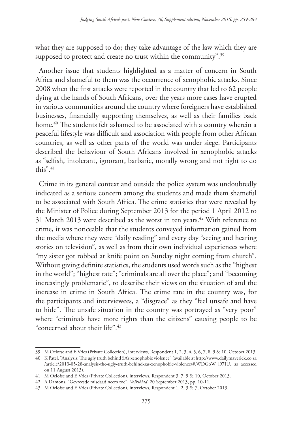what they are supposed to do; they take advantage of the law which they are supposed to protect and create no trust within the community".<sup>39</sup>

Another issue that students highlighted as a matter of concern in South Africa and shameful to them was the occurrence of xenophobic attacks. Since 2008 when the first attacks were reported in the country that led to 62 people dying at the hands of South Africans, over the years more cases have erupted in various communities around the country where foreigners have established businesses, financially supporting themselves, as well as their families back home.<sup>40</sup> The students felt ashamed to be associated with a country wherein a peaceful lifestyle was difficult and association with people from other African countries, as well as other parts of the world was under siege. Participants described the behaviour of South Africans involved in xenophobic attacks as "selfish, intolerant, ignorant, barbaric, morally wrong and not right to do this".41

Crime in its general context and outside the police system was undoubtedly indicated as a serious concern among the students and made them shameful to be associated with South Africa. The crime statistics that were revealed by the Minister of Police during September 2013 for the period 1 April 2012 to 31 March 2013 were described as the worst in ten years.<sup>42</sup> With reference to crime, it was noticeable that the students conveyed information gained from the media where they were "daily reading" and every day "seeing and hearing stories on television", as well as from their own individual experiences where "my sister got robbed at knife point on Sunday night coming from church". Without giving definite statistics, the students used words such as the "highest in the world"; "highest rate"; "criminals are all over the place"; and "becoming increasingly problematic", to describe their views on the situation of and the increase in crime in South Africa. The crime rate in the country was, for the participants and interviewees, a "disgrace" as they "feel unsafe and have to hide". The unsafe situation in the country was portrayed as "very poor" where "criminals have more rights than the citizens" causing people to be "concerned about their life".43

<sup>39</sup> M Oelofse and E Vries (Private Collection), interviews, Respondent 1, 2, 3, 4, 5, 6, 7, 8, 9 & 10, October 2013.

<sup>40</sup> K Patel, "Analysis: The ugly truth behind SA's xenophobic violence" (available at http://www.dailymaverick.co.za /article/2013-05-28-analysis-the-ugly-truth-behind-sas-xenophobic-violence/#.WDGoW\_l97IU, as accessed on 11 August 2013).

<sup>41</sup> M Oelofse and E Vries (Private Collection), interviews, Respondent 3, 7, 9 & 10, October 2013.

<sup>42</sup> A Damons, "Gevreesde misdaad neem toe", *Volksblad*, 20 September 2013, pp. 10-11.

<sup>43</sup> M Oelofse and E Vries (Private Collection), interviews, Respondent 1, 2, 3 & 7, October 2013.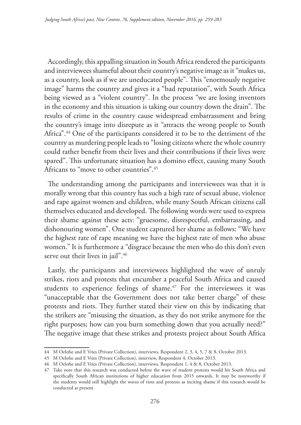Accordingly, this appalling situation in South Africa rendered the participants and interviewees shameful about their country's negative image as it "makes us, as a country, look as if we are uneducated people". This "enormously negative image" harms the country and gives it a "bad reputation", with South Africa being viewed as a "violent country". In the process "we are losing inventors in the economy and this situation is taking our country down the drain". The results of crime in the country cause widespread embarrassment and bring the country's image into disrepute as it "attracts the wrong people to South Africa".44 One of the participants considered it to be to the detriment of the country as murdering people leads to "losing citizens where the whole country could rather benefit from their lives and their contributions if their lives were spared". This unfortunate situation has a domino effect, causing many South Africans to "move to other countries".45

The understanding among the participants and interviewees was that it is morally wrong that this country has such a high rate of sexual abuse, violence and rape against women and children, while many South African citizens call themselves educated and developed. The following words were used to express their shame against these acts: "gruesome, disrespectful, embarrassing, and dishonouring women". One student captured her shame as follows: "We have the highest rate of rape meaning we have the highest rate of men who abuse women." It is furthermore a "disgrace because the men who do this don't even serve out their lives in jail".<sup>46</sup>

Lastly, the participants and interviewees highlighted the wave of unruly strikes, riots and protests that encumber a peaceful South Africa and caused students to experience feelings of shame.<sup>47</sup> For the interviewees it was "unacceptable that the Government does not take better charge" of these protests and riots. They further stated their view on this by indicating that the strikers are "misusing the situation, as they do not strike anymore for the right purposes; how can you burn something down that you actually need?" The negative image that these strikes and protests project about South Africa

<sup>44</sup> M Oelofse and E Vries (Private Collection), interviews, Respondent 2, 3, 4, 5, 7 & 8, October 2013.

<sup>45</sup> M Oelofse and E Vries (Private Collection), interview, Respondent 4, October 2013.

<sup>46</sup> M Oelofse and E Vries (Private Collection), interviews, Respondent 1, 4 & 8, October 2013.

<sup>47</sup> Take note that this research was conducted before the wave of student protests would hit South Africa and specifically South African institutions of higher education from 2015 onwards. It may be noteworthy if the students would still highlight the waves of riots and protests as inciting shame if this research would be conducted at present.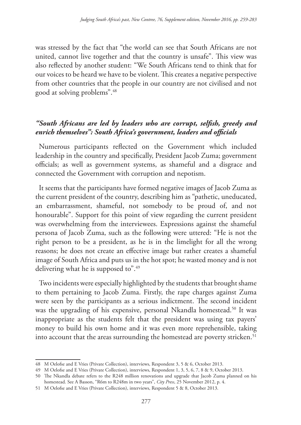was stressed by the fact that "the world can see that South Africans are not united, cannot live together and that the country is unsafe". This view was also reflected by another student: "We South Africans tend to think that for our voices to be heard we have to be violent. This creates a negative perspective from other countries that the people in our country are not civilised and not good at solving problems".48

# *"South Africans are led by leaders who are corrupt, selfish, greedy and enrich themselves": South Africa's government, leaders and officials*

Numerous participants reflected on the Government which included leadership in the country and specifically, President Jacob Zuma; government officials; as well as government systems, as shameful and a disgrace and connected the Government with corruption and nepotism.

It seems that the participants have formed negative images of Jacob Zuma as the current president of the country, describing him as "pathetic, uneducated, an embarrassment, shameful, not somebody to be proud of, and not honourable". Support for this point of view regarding the current president was overwhelming from the interviewees. Expressions against the shameful persona of Jacob Zuma, such as the following were uttered: "He is not the right person to be a president, as he is in the limelight for all the wrong reasons; he does not create an effective image but rather creates a shameful image of South Africa and puts us in the hot spot; he wasted money and is not delivering what he is supposed to".<sup>49</sup>

Two incidents were especially highlighted by the students that brought shame to them pertaining to Jacob Zuma. Firstly, the rape charges against Zuma were seen by the participants as a serious indictment. The second incident was the upgrading of his expensive, personal Nkandla homestead.<sup>50</sup> It was inappropriate as the students felt that the president was using tax payers' money to build his own home and it was even more reprehensible, taking into account that the areas surrounding the homestead are poverty stricken.<sup>51</sup>

<sup>48</sup> M Oelofse and E Vries (Private Collection), interviews, Respondent 3, 5 & 6, October 2013.

<sup>49</sup> M Oelofse and E Vries (Private Collection), interviews, Respondent 1, 3, 5, 6, 7, 8 & 9, October 2013.

<sup>50</sup> The Nkandla debate refers to the R248 million renovations and upgrade that Jacob Zuma planned on his homestead. See A Basson, "R6m to R248m in two years", *City Press*, 25 November 2012, p. 4.

<sup>51</sup> M Oelofse and E Vries (Private Collection), interviews, Respondent 5 & 8, October 2013.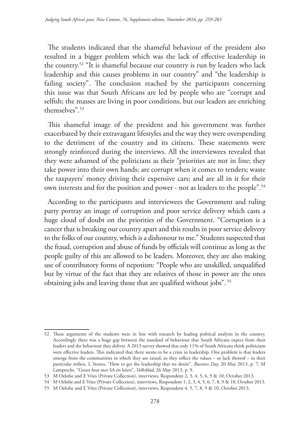The students indicated that the shameful behaviour of the president also resulted in a bigger problem which was the lack of effective leadership in the country.52 "It is shameful because our country is run by leaders who lack leadership and this causes problems in our country" and "the leadership is failing society". The conclusion reached by the participants concerning this issue was that South Africans are led by people who are "corrupt and selfish; the masses are living in poor conditions, but our leaders are enriching themselves".53

This shameful image of the president and his government was further exacerbated by their extravagant lifestyles and the way they were overspending to the detriment of the country and its citizens. These statements were strongly reinforced during the interviews. All the interviewees revealed that they were ashamed of the politicians as their "priorities are not in line; they take power into their own hands; are corrupt when it comes to tenders; waste the taxpayers' money driving their expensive cars; and are all in it for their own interests and for the position and power - not as leaders to the people".<sup>54</sup>

According to the participants and interviewees the Government and ruling party portray an image of corruption and poor service delivery which casts a huge cloud of doubt on the priorities of the Government. "Corruption is a cancer that is breaking our country apart and this results in poor service delivery to the folks of our country, which is a dishonour to me." Students suspected that the fraud, corruption and abuse of funds by officials will continue as long as the people guilty of this are allowed to be leaders. Moreover, they are also making use of contributory forms of nepotism: "People who are unskilled, unqualified but by virtue of the fact that they are relatives of those in power are the ones obtaining jobs and leaving those that are qualified without jobs". 55

<sup>52</sup> These arguments of the students were in line with research by leading political analysts in the country. Accordingly there was a huge gap between the standard of behaviour that South Africans expect from their leaders and the behaviour they deliver. A 2013 survey showed that only 11% of South Africans think politicians were effective leaders. This indicated that there seems to be a crisis in leadership. One problem is that leaders emerge from the communities in which they are raised, so they reflect the values – or lack thereof – in their particular milieu. L Stones, "How to get the leadership that we desire", *Business Day*, 20 May 2013, p. 7; M Lamprecht, "Groot fout met SA én leiers", *Volksblad*, 26 May 2013, p. 9.

<sup>53</sup> M Oelofse and E Vries (Private Collection), interviews, Respondent 2, 3, 4, 5, 6, 9 & 10, October 2013.

<sup>54</sup> M Oelofse and E Vries (Private Collection), interviews, Respondent 1, 2, 3, 4, 5, 6, 7, 8, 9 & 10, October 2013.

<sup>55</sup> M Oelofse and E Vries (Private Collection), interviews, Respondent 4, 5, 7, 8, 9 & 10, October 2013.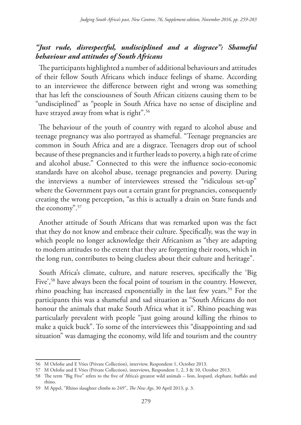# *"Just rude, disrespectful, undisciplined and a disgrace": Shameful behaviour and attitudes of South Africans*

The participants highlighted a number of additional behaviours and attitudes of their fellow South Africans which induce feelings of shame. According to an interviewee the difference between right and wrong was something that has left the consciousness of South African citizens causing them to be "undisciplined" as "people in South Africa have no sense of discipline and have strayed away from what is right".<sup>56</sup>

The behaviour of the youth of country with regard to alcohol abuse and teenage pregnancy was also portrayed as shameful. "Teenage pregnancies are common in South Africa and are a disgrace. Teenagers drop out of school because of these pregnancies and it further leads to poverty, a high rate of crime and alcohol abuse." Connected to this were the influence socio-economic standards have on alcohol abuse, teenage pregnancies and poverty. During the interviews a number of interviewees stressed the "ridiculous set-up" where the Government pays out a certain grant for pregnancies, consequently creating the wrong perception, "as this is actually a drain on State funds and the economy".57

Another attitude of South Africans that was remarked upon was the fact that they do not know and embrace their culture. Specifically, was the way in which people no longer acknowledge their Africanism as "they are adapting to modern attitudes to the extent that they are forgetting their roots, which in the long run, contributes to being clueless about their culture and heritage".

South Africa's climate, culture, and nature reserves, specifically the 'Big Five',58 have always been the focal point of tourism in the country. However, rhino poaching has increased exponentially in the last few years.<sup>59</sup> For the participants this was a shameful and sad situation as "South Africans do not honour the animals that make South Africa what it is". Rhino poaching was particularly prevalent with people "just going around killing the rhinos to make a quick buck". To some of the interviewees this "disappointing and sad situation" was damaging the economy, wild life and tourism and the country

<sup>56</sup> M Oelofse and E Vries (Private Collection), interview, Respondent 1, October 2013.

<sup>57</sup> M Oelofse and E Vries (Private Collection), interviews, Respondent 1, 2, 3 & 10, October 2013.

<sup>58</sup> The term "Big Five" refers to the five of Africa's greatest wild animals – lion, leopard, elephant, buffalo and rhino.

<sup>59</sup> M Appel, "Rhino slaughter climbs to 249", *The New Age*, 30 April 2013, p. 3.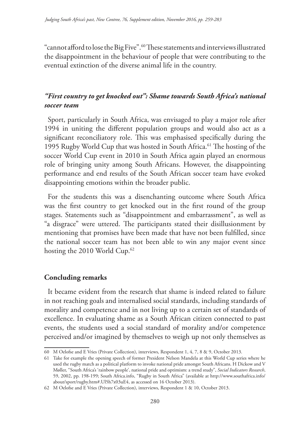"cannot afford to lose the Big Five".60 These statements and interviews illustrated the disappointment in the behaviour of people that were contributing to the eventual extinction of the diverse animal life in the country.

## *"First country to get knocked out": Shame towards South Africa's national soccer team*

Sport, particularly in South Africa, was envisaged to play a major role after 1994 in uniting the different population groups and would also act as a significant reconciliatory role. This was emphasised specifically during the 1995 Rugby World Cup that was hosted in South Africa.<sup>61</sup> The hosting of the soccer World Cup event in 2010 in South Africa again played an enormous role of bringing unity among South Africans. However, the disappointing performance and end results of the South African soccer team have evoked disappointing emotions within the broader public.

For the students this was a disenchanting outcome where South Africa was the first country to get knocked out in the first round of the group stages. Statements such as "disappointment and embarrassment", as well as "a disgrace" were uttered. The participants stated their disillusionment by mentioning that promises have been made that have not been fulfilled, since the national soccer team has not been able to win any major event since hosting the 2010 World Cup.<sup>62</sup>

#### **Concluding remarks**

It became evident from the research that shame is indeed related to failure in not reaching goals and internalised social standards, including standards of morality and competence and in not living up to a certain set of standards of excellence. In evaluating shame as a South African citizen connected to past events, the students used a social standard of morality and/or competence perceived and/or imagined by themselves to weigh up not only themselves as

<sup>60</sup> M Oelofse and E Vries (Private Collection), interviews, Respondent 1, 4, 7, 8 & 9, October 2013.

<sup>61</sup> Take for example the opening speech of former President Nelson Mandela at this World Cup series where he used the rugby match as a political platform to invoke national pride amongst South Africans. H Dickow and V Møller, "South Africa's 'rainbow people', national pride and optimism: a trend study", *Social Indicators Research*, 59, 2002, pp. 198-199; South Africa.info, "Rugby in South Africa" (available at http://www.southafrica.info/ about/sport/rugby.htm#.Ul5h7x03uE4, as accessed on 16 October 2013).

<sup>62</sup> M Oelofse and E Vries (Private Collection), interviews, Respondent 1 & 10, October 2013.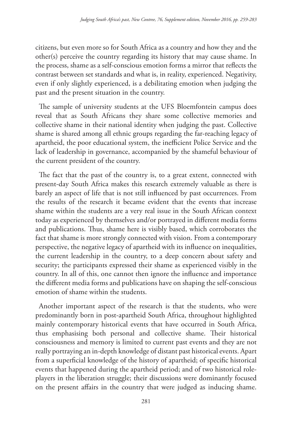citizens, but even more so for South Africa as a country and how they and the other(s) perceive the country regarding its history that may cause shame. In the process, shame as a self-conscious emotion forms a mirror that reflects the contrast between set standards and what is, in reality, experienced. Negativity, even if only slightly experienced, is a debilitating emotion when judging the past and the present situation in the country.

The sample of university students at the UFS Bloemfontein campus does reveal that as South Africans they share some collective memories and collective shame in their national identity when judging the past. Collective shame is shared among all ethnic groups regarding the far-reaching legacy of apartheid, the poor educational system, the inefficient Police Service and the lack of leadership in governance, accompanied by the shameful behaviour of the current president of the country.

The fact that the past of the country is, to a great extent, connected with present-day South Africa makes this research extremely valuable as there is barely an aspect of life that is not still influenced by past occurrences. From the results of the research it became evident that the events that increase shame within the students are a very real issue in the South African context today as experienced by themselves and/or portrayed in different media forms and publications. Thus, shame here is visibly based, which corroborates the fact that shame is more strongly connected with vision. From a contemporary perspective, the negative legacy of apartheid with its influence on inequalities, the current leadership in the country, to a deep concern about safety and security; the participants expressed their shame as experienced visibly in the country. In all of this, one cannot then ignore the influence and importance the different media forms and publications have on shaping the self-conscious emotion of shame within the students.

Another important aspect of the research is that the students, who were predominantly born in post-apartheid South Africa, throughout highlighted mainly contemporary historical events that have occurred in South Africa, thus emphasising both personal and collective shame. Their historical consciousness and memory is limited to current past events and they are not really portraying an in-depth knowledge of distant past historical events. Apart from a superficial knowledge of the history of apartheid; of specific historical events that happened during the apartheid period; and of two historical roleplayers in the liberation struggle; their discussions were dominantly focused on the present affairs in the country that were judged as inducing shame.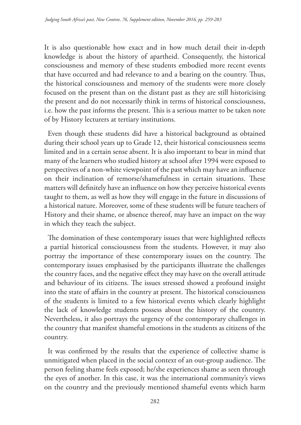It is also questionable how exact and in how much detail their in-depth knowledge is about the history of apartheid. Consequently, the historical consciousness and memory of these students embodied more recent events that have occurred and had relevance to and a bearing on the country. Thus, the historical consciousness and memory of the students were more closely focused on the present than on the distant past as they are still historicising the present and do not necessarily think in terms of historical consciousness, i.e. how the past informs the present. This is a serious matter to be taken note of by History lecturers at tertiary institutions.

Even though these students did have a historical background as obtained during their school years up to Grade 12, their historical consciousness seems limited and in a certain sense absent. It is also important to bear in mind that many of the learners who studied history at school after 1994 were exposed to perspectives of a non-white viewpoint of the past which may have an influence on their inclination of remorse/shamefulness in certain situations. These matters will definitely have an influence on how they perceive historical events taught to them, as well as how they will engage in the future in discussions of a historical nature. Moreover, some of these students will be future teachers of History and their shame, or absence thereof, may have an impact on the way in which they teach the subject.

The domination of these contemporary issues that were highlighted reflects a partial historical consciousness from the students. However, it may also portray the importance of these contemporary issues on the country. The contemporary issues emphasised by the participants illustrate the challenges the country faces, and the negative effect they may have on the overall attitude and behaviour of its citizens. The issues stressed showed a profound insight into the state of affairs in the country at present. The historical consciousness of the students is limited to a few historical events which clearly highlight the lack of knowledge students possess about the history of the country. Nevertheless, it also portrays the urgency of the contemporary challenges in the country that manifest shameful emotions in the students as citizens of the country.

It was confirmed by the results that the experience of collective shame is unmitigated when placed in the social context of an out-group audience. The person feeling shame feels exposed; he/she experiences shame as seen through the eyes of another. In this case, it was the international community's views on the country and the previously mentioned shameful events which harm